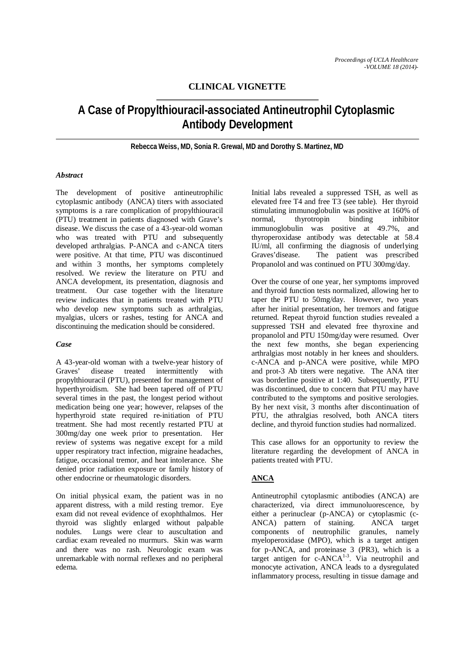# **CLINICAL VIGNETTE**

# **A Case of Propylthiouracil-associated Antineutrophil Cytoplasmic Antibody Development**

**Rebecca Weiss, MD, Sonia R. Grewal, MD and Dorothy S. Martinez, MD**

## *Abstract*

The development of positive antineutrophilic cytoplasmic antibody (ANCA) titers with associated symptoms is a rare complication of propylthiouracil (PTU) treatment in patients diagnosed with Grave's disease. We discuss the case of a 43-year-old woman who was treated with PTU and subsequently developed arthralgias. P-ANCA and c-ANCA titers were positive. At that time, PTU was discontinued and within 3 months, her symptoms completely resolved. We review the literature on PTU and ANCA development, its presentation, diagnosis and treatment. Our case together with the literature review indicates that in patients treated with PTU who develop new symptoms such as arthralgias, myalgias, ulcers or rashes, testing for ANCA and discontinuing the medication should be considered.

## *Case*

A 43-year-old woman with a twelve-year history of Graves' disease treated intermittently with propylthiouracil (PTU), presented for management of hyperthyroidism. She had been tapered off of PTU several times in the past, the longest period without medication being one year; however, relapses of the hyperthyroid state required re-initiation of PTU treatment. She had most recently restarted PTU at 300mg/day one week prior to presentation. Her review of systems was negative except for a mild upper respiratory tract infection, migraine headaches, fatigue, occasional tremor, and heat intolerance. She denied prior radiation exposure or family history of other endocrine or rheumatologic disorders.

On initial physical exam, the patient was in no apparent distress, with a mild resting tremor. Eye exam did not reveal evidence of exophthalmos. Her thyroid was slightly enlarged without palpable nodules. Lungs were clear to auscultation and cardiac exam revealed no murmurs. Skin was warm and there was no rash. Neurologic exam was unremarkable with normal reflexes and no peripheral edema.

Initial labs revealed a suppressed TSH, as well as elevated free T4 and free T3 (see table). Her thyroid stimulating immunoglobulin was positive at 160% of normal, thyrotropin binding inhibitor immunoglobulin was positive at 49.7%, and thyroperoxidase antibody was detectable at 58.4 IU/ml, all confirming the diagnosis of underlying Graves'disease. The patient was prescribed Propanolol and was continued on PTU 300mg/day.

Over the course of one year, her symptoms improved and thyroid function tests normalized, allowing her to taper the PTU to 50mg/day. However, two years after her initial presentation, her tremors and fatigue returned. Repeat thyroid function studies revealed a suppressed TSH and elevated free thyroxine and propanolol and PTU 150mg/day were resumed. Over the next few months, she began experiencing arthralgias most notably in her knees and shoulders. c-ANCA and p-ANCA were positive, while MPO and prot-3 Ab titers were negative. The ANA titer was borderline positive at 1:40. Subsequently, PTU was discontinued, due to concern that PTU may have contributed to the symptoms and positive serologies. By her next visit, 3 months after discontinuation of PTU, the athralgias resolved, both ANCA titers decline, and thyroid function studies had normalized.

This case allows for an opportunity to review the literature regarding the development of ANCA in patients treated with PTU.

## **ANCA**

Antineutrophil cytoplasmic antibodies (ANCA) are characterized, via direct immunoluorescence, by either a perinuclear (p-ANCA) or cytoplasmic (c-ANCA) pattern of staining. ANCA target components of neutrophilic granules, namely myeloperoxidase (MPO), which is a target antigen for p-ANCA, and proteinase 3 (PR3), which is a target antigen for  $c$ -ANCA $^{1-3}$ . Via neutrophil and monocyte activation, ANCA leads to a dysregulated inflammatory process, resulting in tissue damage and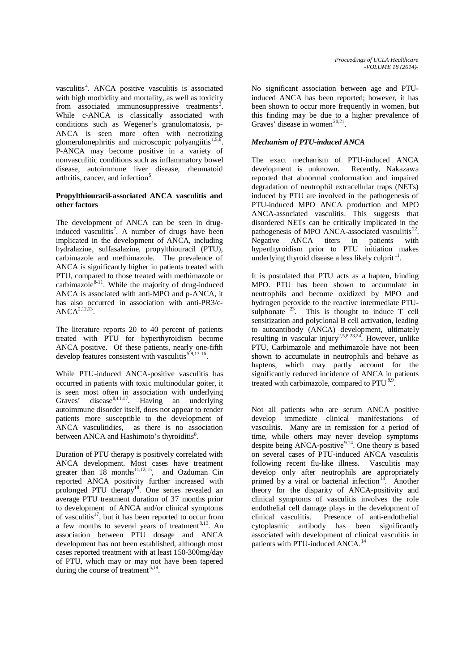vasculitis<sup>4</sup>. ANCA positive vasculitis is associated with high morbidity and mortality, as well as toxicity from associated immunosuppressive treatments<sup>2</sup>. While c-ANCA is classically associated with conditions such as Wegener's granulomatosis, p-ANCA is seen more often with necrotizing glomerulonephritis and microscopic polyangiitis<sup>1,5,6</sup>. P-ANCA may become positive in a variety of nonvasculitic conditions such as inflammatory bowel disease, autoimmune liver disease, rheumatoid arthritis, cancer, and infection<sup>5</sup>.

#### **Propylthiouracil-associated ANCA vasculitis and other factors**

The development of ANCA can be seen in druginduced vasculitis<sup>7</sup>. A number of drugs have been implicated in the development of ANCA, including hydralazine, sulfasalazine, propylthiouracil (PTU), carbimazole and methimazole. The prevalence of ANCA is significantly higher in patients treated with PTU, compared to those treated with methimazole or carbimazole $8-11$ . While the majority of drug-induced ANCA is associated with anti-MPO and p-ANCA, it has also occurred in association with anti-PR3/c- $\widehat{\text{ANCA}^{2,12,13}}$ 

The literature reports 20 to 40 percent of patients treated with PTU for hyperthyroidism become ANCA positive. Of these patients, nearly one-fifth develop features consistent with vasculitis<sup>5,9,13</sup>

While PTU-induced ANCA-positive vasculitis has occurred in patients with toxic multinodular goiter, it is seen most often in association with underlying Graves' disease<sup>8,11,17</sup>. Having an underlying autoimmune disorder itself, does not appear to render patients more susceptible to the development of ANCA vasculitidies, as there is no association between ANCA and Hashimoto's thyroiditis<sup>8</sup>.

Duration of PTU therapy is positively correlated with ANCA development. Most cases have treatment greater than  $18$  months<sup>11,12,15</sup>, and Ozduman Cin reported ANCA positivity further increased with prolonged PTU therapy<sup>18</sup>. One series revealed an average PTU treatment duration of 37 months prior to development of ANCA and/or clinical symptoms of vasculitis $17$ , but it has been reported to occur from a few months to several years of treatment<sup>8,13</sup>. An association between PTU dosage and ANCA development has not been established, although most cases reported treatment with at least 150-300mg/day of PTU, which may or may not have been tapered during the course of treatment  $5,19$ .

No significant association between age and PTUinduced ANCA has been reported; however, it has been shown to occur more frequently in women, but this finding may be due to a higher prevalence of Graves' disease in women<sup>20,21</sup>.

## *Mechanism of PTU-induced ANCA*

The exact mechanism of PTU-induced ANCA development is unknown. Recently, Nakazawa reported that abnormal conformation and impaired degradation of neutrophil extracellular traps (NETs) induced by PTU are involved in the pathogenesis of PTU-induced MPO ANCA production and MPO ANCA-associated vasculitis. This suggests that disordered NETs can be critically implicated in the pathogenesis of MPO ANCA-associated vasculitis $^{22}$ . Negative ANCA titers in patients with hyperthyroidism prior to PTU initiation makes underlying thyroid disease a less likely culprit<sup>11</sup>.

It is postulated that PTU acts as a hapten, binding MPO. PTU has been shown to accumulate in neutrophils and become oxidized by MPO and hydrogen peroxide to the reactive intermediate PTUsulphonate  $23$ . This is thought to induce T cell sensitization and polyclonal B cell activation, leading to autoantibody (ANCA) development, ultimately resulting in vascular injury<sup>2,5,8,23,24</sup>. However, unlike PTU, Carbimazole and methimazole have not been shown to accumulate in neutrophils and behave as haptens, which may partly account for the significantly reduced incidence of ANCA in patients treated with carbimazole, compared to  $PTU<sup>8,9</sup>$ .

Not all patients who are serum ANCA positive develop immediate clinical manifestations of vasculitis. Many are in remission for a period of time, while others may never develop symptoms despite being ANCA-positive $9,14$ . One theory is based on several cases of PTU-induced ANCA vasculitis following recent flu-like illness. Vasculitis may develop only after neutrophils are appropriately primed by a viral or bacterial infection<sup>13</sup>. Another theory for the disparity of ANCA-positivity and clinical symptoms of vasculitis involves the role endothelial cell damage plays in the development of clinical vasculitis. Presence of anti-endothelial cytoplasmic antibody has been significantly associated with development of clinical vasculitis in patients with PTU-induced ANCA.<sup>14</sup>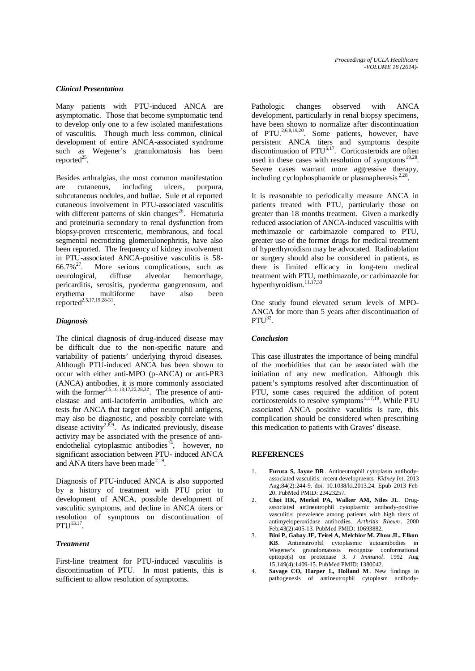#### *Clinical Presentation*

Many patients with PTU-induced ANCA are asymptomatic. Those that become symptomatic tend to develop only one to a few isolated manifestations of vasculitis. Though much less common, clinical development of entire ANCA-associated syndrome such as Wegener's granulomatosis has been reported $^{25}$ .

Besides arthralgias, the most common manifestation are cutaneous, including ulcers, purpura, subcutaneous nodules, and bullae. Sule et al reported cutaneous involvement in PTU-associated vasculitis with different patterns of skin changes<sup>26</sup>. Hematuria and proteinuria secondary to renal dysfunction from biopsy-proven crescenteric, membranous, and focal segmental necrotizing glomerulonephritis, have also been reported. The frequency of kidney involvement in PTU-associated ANCA-positive vasculitis is 58-<br>66.7%<sup>27</sup>. More serious complications, such as More serious complications, such as neurological, diffuse alveolar hemorrhage, pericarditis, serositis, pyoderma gangrenosum, and erythema multiforme have also been reported<sup>2,5,17,19,28-31</sup>.

#### *Diagnosis*

The clinical diagnosis of drug-induced disease may be difficult due to the non-specific nature and variability of patients' underlying thyroid diseases. Although PTU-induced ANCA has been shown to occur with either anti-MPO (p-ANCA) or anti-PR3 (ANCA) antibodies, it is more commonly associated with the former<sup>2,5,10,13,17,22,28,32</sup>. The presence of antielastase and anti-lactoferrin antibodies, which are tests for ANCA that target other neutrophil antigens, may also be diagnostic, and possibly correlate with disease activity<sup>2,8,9</sup>. As indicated previously, disease activity may be associated with the presence of antiendothelial cytoplasmic antibodies $14$ , however, no significant association between PTU- induced ANCA and ANA titers have been made<sup>2,19</sup>.

Diagnosis of PTU-induced ANCA is also supported by a history of treatment with PTU prior to development of ANCA, possible development of vasculitic symptoms, and decline in ANCA titers or resolution of symptoms on discontinuation of  $PTU^{13,17}$ .

## *Treatment*

First-line treatment for PTU-induced vasculitis is discontinuation of PTU. In most patients, this is sufficient to allow resolution of symptoms.

Pathologic changes observed with ANCA development, particularly in renal biopsy specimens, have been shown to normalize after discontinuation of PTU.<sup>2,6,8,19,20</sup>. Some patients, however, have persistent ANCA titers and symptoms despite discontinuation of PTU<sup>5,17</sup>. Corticosteroids are often used in these cases with resolution of symptoms  $19,28$ . Severe cases warrant more aggressive therapy, including cyclophosphamide or plasmapheresis  $2.28$ .

It is reasonable to periodically measure ANCA in patients treated with PTU, particularly those on greater than 18 months treatment. Given a markedly reduced association of ANCA-induced vasculitis with methimazole or carbimazole compared to PTU, greater use of the former drugs for medical treatment of hyperthyroidism may be advocated. Radioablation or surgery should also be considered in patients, as there is limited efficacy in long-tem medical treatment with PTU, methimazole, or carbimazole for hyperthyroidism.<sup>11,17,33</sup>

One study found elevated serum levels of MPO-ANCA for more than 5 years after discontinuation of  $PTU^{32}$ 

#### *Conclusion*

This case illustrates the importance of being mindful of the morbidities that can be associated with the initiation of any new medication. Although this patient's symptoms resolved after discontinuation of PTU, some cases required the addition of potent corticosteroids to resolve symptoms 5,17,19. While PTU associated ANCA positive vaculitis is rare, this complication should be considered when prescribing this medication to patients with Graves' disease.

#### **REFERENCES**

- 1. **Furuta S, Jayne DR**. Antineutrophil cytoplasm antibodyassociated vasculitis: recent developments. *Kidney Int*. 2013 Aug;84(2):244-9. doi: 10.1038/ki.2013.24. Epub 2013 Feb 20. PubMed PMID: 23423257.
- 2. **Choi HK, Merkel PA, Walker AM, Niles JL**. Drugassociated antineutrophil cytoplasmic antibody-positive vasculitis: prevalence among patients with high titers of antimyeloperoxidase antibodies. *Arthritis Rheum*. 2000 Feb;43(2):405-13. PubMed PMID: 10693882.
- 3. **Bini P, Gabay JE, Teitel A, Melchior M, Zhou JL, Elkon KB**. Antineutrophil cytoplasmic autoantibodies in Wegener's granulomatosis recognize conformational epitope(s) on proteinase 3. *J Immunol*. 1992 Aug 15;149(4):1409-15. PubMed PMID: 1380042.
- 4. **Savage CO, Harper L, Holland M** . New findings in pathogenesis of antineutrophil cytoplasm antibody-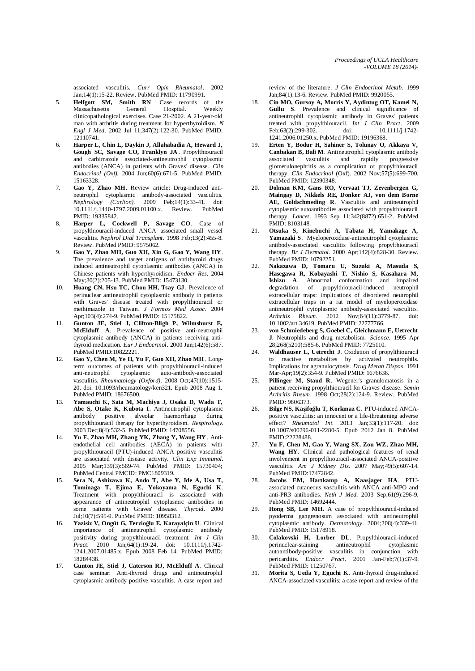associated vasculitis. *Curr Opin Rheumatol*. 2002 Jan;14(1):15-22. Review. PubMed PMID: 11790991.

- 5. **Helfgott SM, Smith RN**. Case records of the Massachusetts **General** Hospital. Weekly Massachusetts clinicopathological exercises. Case 21-2002. A 21-year-old man with arthritis during treatment for hyperthyroidism. *N Engl J Med*. 2002 Jul 11;347(2):122-30. PubMed PMID: 12110741.
- 6. **Harper L, Chin L, Daykin J, Allahabadia A, Heward J, Gough SC, Savage CO, Franklyn JA** . Propylthiouracil and carbimazole associated-antineutrophil cytoplasmic antibodies (ANCA) in patients with Graves' disease. *Clin Endocrinol (Oxf).* 2004 Jun;60(6):671-5. PubMed PMID: 15163328.
- 7. **Gao Y, Zhao MH**. Review article: Drug-induced antineutrophil cytoplasmic antibody-associated vasculitis. *Nephrology (Carlton).* 2009 Feb;14(1):33-41. doi: 10.1111/j.1440-1797.2009.01100.x. Review. PubMed PMID: 19335842.
- 8. **Harper L, Cockwell P, Savage CO**. Case of propylthiouracil-induced ANCA associated small vessel vasculitis. *Nephrol Dial Transplant.* 1998 Feb;13(2):455-8. Review. PubMed PMID: 9575062.
- 9. **Gao Y, Zhao MH, Guo XH, Xin G, Gao Y, Wang HY** . The prevalence and target antigens of antithyroid drugs induced antineutrophil cytoplasmic antibodies (ANCA) in Chinese patients with hyperthyroidism. *Endocr Res*. 2004 May;30(2):205-13. PubMed PMID: 15473130.
- 10. **Huang CN, Hsu TC, Chou HH, Tsay GJ** . Prevalence of perinuclear antineutrophil cytoplasmic antibody in patients with Graves' disease treated with propylthiouracil or methimazole in Taiwan. *J Formos Med Assoc*. 2004 Apr;103(4):274-9. PubMed PMID: 15175822.
- 11. **Gunton JE, Stiel J, Clifton-Bligh P, Wilmshurst E, McElduff A**. Prevalence of positive anti-neutrophil cytoplasmic antibody (ANCA) in patients receiving antithyroid medication. *Eur J Endocrinol*. 2000 Jun;142(6):587. PubMed PMID:10822221.
- 12. **Gao Y, Chen M, Ye H, Yu F, Guo XH, Zhao MH** . Longterm outcomes of patients with propylthiouracil-induced anti-neutrophil cytoplasmic auto-antibody-associated vasculitis. *Rheumatology (Oxford)*. 2008 Oct;47(10):1515- 20. doi: 10.1093/rheumatology/ken321. Epub 2008 Aug 1. PubMed PMID: 18676500.
- 13. **Yamauchi K, Sata M, Machiya J, Osaka D, Wada T, Abe S, Otake K, Kubota I**. Antineutrophil cytoplasmic antibody positive alveolar haemorrhage during propylthiouracil therapy for hyperthyroidism. *Respirology*. 2003 Dec;8(4):532-5. PubMed PMID: 14708556.
- 14. **Yu F, Zhao MH, Zhang YK, Zhang Y, Wang HY** . Antiendothelial cell antibodies (AECA) in patients with propylthiouracil (PTU)-induced ANCA positive vasculitis are associated with disease activity. *Clin Exp Immunol*. 2005 Mar;139(3):569-74. PubMed PMID: 15730404; PubMed Central PMCID: PMC1809319.
- 15. **Sera N, Ashizawa K, Ando T, Abe Y, Ide A, Usa T, Tominaga T, Ejima E, Yokoyama N, Eguchi K**. Treatment with propylthiouracil is associated with appearance of antineutrophil cytoplasmic antibodies in some patients with Graves' disease. *Thyroid*. 2000 Jul;10(7):595-9. PubMed PMID: 10958312.
- 16. **Yazisiz V, Ongüt G, Terzioğlu E, Karayalçin U**. Clinical importance of antineutrophil cytoplasmic antibody positivity during propylthiouracil treatment. *Int J Clin Pract*. 2010 Jan;64(1):19-24. doi: 10.1111/j.1742- 1241.2007.01485.x. Epub 2008 Feb 14. PubMed PMID: 18284438.
- 17. **Gunton JE, Stiel J, Caterson RJ, McElduff A**. Clinical case seminar: Anti-thyroid drugs and antineutrophil cytoplasmic antibody positive vasculitis. A case report and

review of the literature. *J Clin Endocrinol Metab*. 1999 Jan;84(1):13-6. Review. PubMed PMID: 9920055.

- 18. **Cin MO, Gursoy A, Morris Y, Aydintug OT, Kamel N, Gullu S**. Prevalence and clinical significance of antineutrophil cytoplasmic antibody in Graves' patients treated with propylthiouracil. *Int J Clin Pract*. 2009 Feb:  $63(2):299-302.$  doi: 1241.2006.01250.x. PubMed PMID: 19196368.
- 19. **Erten Y, Bodur H, Sahiner S, Tolunay O, Akkaya V, Canbakan B, Bali M**. Antineutrophil cytoplasmic antibody associated vasculitis and rapidly progressive glomerulonephritis as a complication of propylthiouracil therapy. *Clin Endocrinol* (Oxf). 2002 Nov;57(5):699-700. PubMed PMID: 12390348.
- 20. **Dolman KM, Gans RO, Vervaat TJ, Zevenbergen G, Maingay D, Nikkels RE, Donker AJ, von dem Borne AE, Goldschmeding R**. Vasculitis and antineutrophil cytoplasmic autoantibodies associated with propylthiouracil therapy. *Lancet*. 1993 Sep 11;342(8872):651-2. PubMed PMID: 8103148.
- 21. **Otsuka S, Kinebuchi A, Tabata H, Yamakage A, Yamazaki S**. Myeloperoxidase-antineutrophil cytoplasmic antibody-associated vasculitis following propylthiouracil therapy. *Br J Dermatol*. 2000 Apr;142(4):828-30. Review. PubMed PMID: 10792251.
- 22. **Nakazawa D, Tomaru U, Suzuki A, Masuda S, Hasegawa R, Kobayashi T, Nishio S, Kasahara M, Ishizu A**. Abnormal conformation and impaired degradation of propylthiouracil-induced neutrophil extracellular traps: implications of disordered neutrophil extracellular traps in a rat model of myeloperoxidase antineutrophil cytoplasmic antibody-associated vasculitis. *Arthritis Rheum*. 2012 Nov;64(11):3779-87. doi: 10.1002/art.34619. PubMed PMID: 22777766.
- 23. **von Schmiedeberg S, Goebel C, Gleichmann E, Uetrecht J**. Neutrophils and drug metabolism. *Science*. 1995 Apr 28;268(5210):585-6. PubMed PMID: 7725110.
- 24. **Waldhauser L, Uetrecht J**. Oxidation of propylthiouracil to reactive metabolites by activated neutrophils. Implications for agranulocytosis. *Drug Metab Dispos*. 1991 Mar-Apr;19(2):354-9. PubMed PMID: 1676636.
- 25. **Pillinger M, Staud R**. Wegener's granulomatosis in a patient receiving propylthiouracil for Graves' disease. *Semin Arthritis Rheum*. 1998 Oct;28(2):124-9. Review. PubMed PMID: 9806373.
- 26. **Bilge NS, Kaşifoğlu T, Korkmaz C**. PTU-induced ANCApositive vasculitis: an innocent or a life-threatening adverse effect? *Rheumatol Int*. 2013 Jan;33(1):117-20. doi: 10.1007/s00296-011-2280-5. Epub 2012 Jan 8. PubMed PMID:22228488.
- 27. **Yu F, Chen M, Gao Y, Wang SX, Zou WZ, Zhao MH, Wang HY**. Clinical and pathological features of renal involvement in propylthiouracil-associated ANCA-positive vasculitis. *Am J Kidney Dis*. 2007 May;49(5):607-14. PubMed PMID:17472842.
- 28. **Jacobs EM, Hartkamp A, Kaasjager HA**. PTUassociated cutaneous vasculitis with ANCA anti-MPO and anti-PR3 antibodies. *Neth J Med*. 2003 Sep;61(9):296-9. PubMed PMID: 14692444.
- 29. **Hong SB, Lee MH**. A case of propylthiouracil-induced pyoderma gangrenosum associated with antineutrophil cytoplasmic antibody. *Dermatology*. 2004;208(4):339-41. PubMed PMID: 15178918.
- 30. **Colakovski H, Lorber DL**. Propylthiouracil-induced perinuclear-staining antineutrophil cytoplasmic autoantibody-positive vasculitis in conjunction with pericarditis. *Endocr Pract*. 2001 Jan-Feb;7(1):37-9. PubMed PMID: 11250767.
- 31. **Morita S, Ueda Y, Eguchi K**. Anti-thyroid drug-induced ANCA-associated vasculitis: a case report and review of the